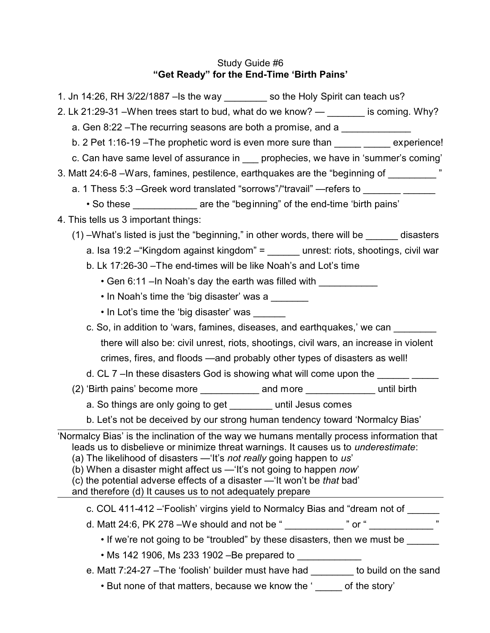# Study Guide #6 **"Get Ready" for the End-Time 'Birth Pains'**

| 1. Jn 14:26, RH 3/22/1887 –Is the way ________ so the Holy Spirit can teach us?                                                                                                                                                                                                                                                                                                                                                                                                   |  |  |  |
|-----------------------------------------------------------------------------------------------------------------------------------------------------------------------------------------------------------------------------------------------------------------------------------------------------------------------------------------------------------------------------------------------------------------------------------------------------------------------------------|--|--|--|
| 2. Lk 21:29-31 – When trees start to bud, what do we know? $-$ _______ is coming. Why?                                                                                                                                                                                                                                                                                                                                                                                            |  |  |  |
| a. Gen 8:22 – The recurring seasons are both a promise, and a                                                                                                                                                                                                                                                                                                                                                                                                                     |  |  |  |
| b. 2 Pet 1:16-19 – The prophetic word is even more sure than experience!                                                                                                                                                                                                                                                                                                                                                                                                          |  |  |  |
| c. Can have same level of assurance in prophecies, we have in 'summer's coming'                                                                                                                                                                                                                                                                                                                                                                                                   |  |  |  |
| 3. Matt 24:6-8 – Wars, famines, pestilence, earthquakes are the "beginning of                                                                                                                                                                                                                                                                                                                                                                                                     |  |  |  |
| a. 1 Thess 5:3 - Greek word translated "sorrows"/"travail" - refers to __________                                                                                                                                                                                                                                                                                                                                                                                                 |  |  |  |
| . So these ______________ are the "beginning" of the end-time 'birth pains'                                                                                                                                                                                                                                                                                                                                                                                                       |  |  |  |
| 4. This tells us 3 important things:                                                                                                                                                                                                                                                                                                                                                                                                                                              |  |  |  |
| $(1)$ -What's listed is just the "beginning," in other words, there will be ______ disasters                                                                                                                                                                                                                                                                                                                                                                                      |  |  |  |
| a. Isa 19:2 - "Kingdom against kingdom" = unrest: riots, shootings, civil war                                                                                                                                                                                                                                                                                                                                                                                                     |  |  |  |
| b. Lk 17:26-30 - The end-times will be like Noah's and Lot's time                                                                                                                                                                                                                                                                                                                                                                                                                 |  |  |  |
| • Gen 6:11 - In Noah's day the earth was filled with ____________                                                                                                                                                                                                                                                                                                                                                                                                                 |  |  |  |
| • In Noah's time the 'big disaster' was a                                                                                                                                                                                                                                                                                                                                                                                                                                         |  |  |  |
| • In Lot's time the 'big disaster' was                                                                                                                                                                                                                                                                                                                                                                                                                                            |  |  |  |
| c. So, in addition to 'wars, famines, diseases, and earthquakes,' we can                                                                                                                                                                                                                                                                                                                                                                                                          |  |  |  |
| there will also be: civil unrest, riots, shootings, civil wars, an increase in violent                                                                                                                                                                                                                                                                                                                                                                                            |  |  |  |
| crimes, fires, and floods —and probably other types of disasters as well!                                                                                                                                                                                                                                                                                                                                                                                                         |  |  |  |
| d. CL 7 - In these disasters God is showing what will come upon the ____________                                                                                                                                                                                                                                                                                                                                                                                                  |  |  |  |
| (2) 'Birth pains' become more ________________ and more _________________ until birth                                                                                                                                                                                                                                                                                                                                                                                             |  |  |  |
| a. So things are only going to get ________ until Jesus comes                                                                                                                                                                                                                                                                                                                                                                                                                     |  |  |  |
| b. Let's not be deceived by our strong human tendency toward 'Normalcy Bias'                                                                                                                                                                                                                                                                                                                                                                                                      |  |  |  |
| 'Normalcy Bias' is the inclination of the way we humans mentally process information that<br>leads us to disbelieve or minimize threat warnings. It causes us to <i>underestimate</i> :<br>(a) The likelihood of disasters - 'It's not really going happen to us'<br>(b) When a disaster might affect us - 'It's not going to happen now'<br>(c) the potential adverse effects of a disaster - 'It won't be that bad'<br>and therefore (d) It causes us to not adequately prepare |  |  |  |
| c. COL 411-412 - Foolish' virgins yield to Normalcy Bias and "dream not of _____                                                                                                                                                                                                                                                                                                                                                                                                  |  |  |  |
| d. Matt 24:6, PK 278 - We should and not be " ____________ " or " ___________ "                                                                                                                                                                                                                                                                                                                                                                                                   |  |  |  |
| • If we're not going to be "troubled" by these disasters, then we must be ______                                                                                                                                                                                                                                                                                                                                                                                                  |  |  |  |
| • Ms 142 1906, Ms 233 1902 –Be prepared to                                                                                                                                                                                                                                                                                                                                                                                                                                        |  |  |  |
| e. Matt 7:24-27 - The 'foolish' builder must have had ________ to build on the sand                                                                                                                                                                                                                                                                                                                                                                                               |  |  |  |
| • But none of that matters, because we know the '_____ of the story'                                                                                                                                                                                                                                                                                                                                                                                                              |  |  |  |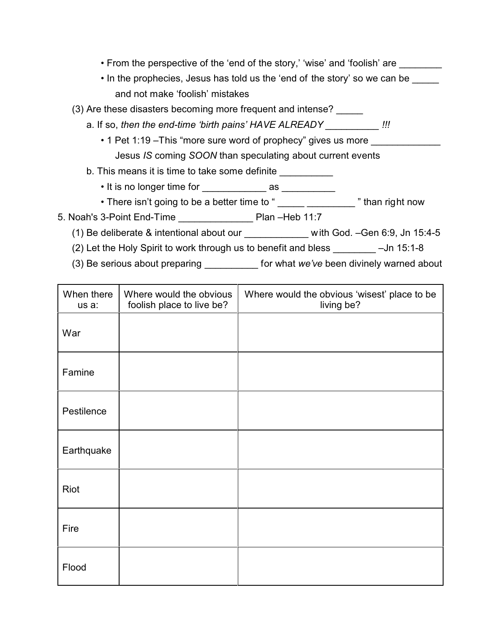- From the perspective of the 'end of the story,' 'wise' and 'foolish' are
- In the prophecies, Jesus has told us the 'end of the story' so we can be and not make 'foolish' mistakes
- (3) Are these disasters becoming more frequent and intense?
	- a. If so, *then the end-time 'birth pains' HAVE ALREADY \_\_\_\_\_\_\_\_\_\_ !!!*
		- 1 Pet 1:19 This "more sure word of prophecy" gives us more Jesus *IS* coming *SOON* than speculating about current events
	- b. This means it is time to take some definite \_\_\_\_\_\_\_\_\_\_
		- It is no longer time for \_\_\_\_\_\_\_\_\_\_\_\_ as \_\_\_\_\_\_\_\_\_\_
		- There isn't going to be a better time to " \_\_\_\_\_ \_\_\_\_\_\_\_\_\_\_ " than right now
- 5. Noah's 3-Point End-Time **Plan –Heb 11:7** 
	- (1) Be deliberate & intentional about our with God. –Gen 6:9, Jn 15:4-5
	- (2) Let the Holy Spirit to work through us to benefit and bless \_\_\_\_\_\_\_\_ –Jn 15:1-8
	- (3) Be serious about preparing \_\_\_\_\_\_\_\_\_\_ for what *we've* been divinely warned about

| When there<br>us a: | Where would the obvious<br>foolish place to live be? | Where would the obvious 'wisest' place to be<br>living be? |
|---------------------|------------------------------------------------------|------------------------------------------------------------|
| War                 |                                                      |                                                            |
| Famine              |                                                      |                                                            |
| Pestilence          |                                                      |                                                            |
| Earthquake          |                                                      |                                                            |
| Riot                |                                                      |                                                            |
| Fire                |                                                      |                                                            |
| Flood               |                                                      |                                                            |